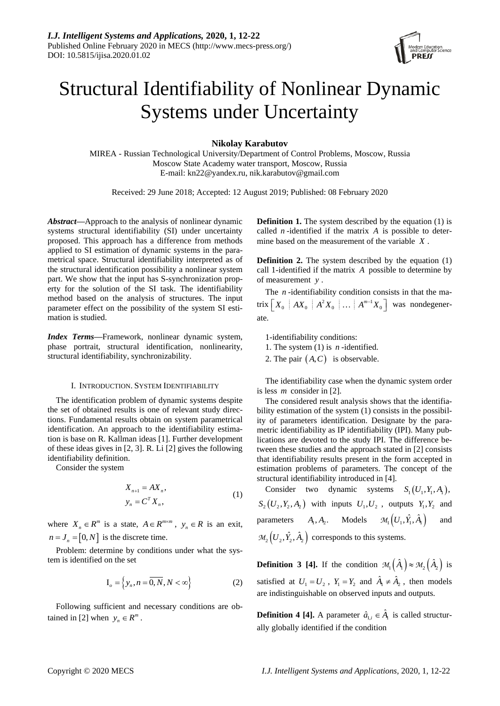

# Structural Identifiability of Nonlinear Dynamic Systems under Uncertainty

**Nikolay Karabutov**

MIREA - Russian Technological University/Department of Control Problems, Moscow, Russia Moscow State Academy water transport, Moscow, Russia E-mail: kn22@yandex.ru, nik.karabutov@gmail.com

Received: 29 June 2018; Accepted: 12 August 2019; Published: 08 February 2020

*Abstract***—**Approach to the analysis of nonlinear dynamic systems structural identifiability (SI) under uncertainty proposed. This approach has a difference from methods applied to SI estimation of dynamic systems in the parametrical space. Structural identifiability interpreted as of the structural identification possibility a nonlinear system part. We show that the input has S-synchronization property for the solution of the SI task. The identifiability method based on the analysis of structures. The input parameter effect on the possibility of the system SI estimation is studied.

*Index Terms***—**Framework, nonlinear dynamic system, phase portrait, structural identification, nonlinearity, structural identifiability, synchronizability.

## I. INTRODUCTION. SYSTEM IDENTIFIABILITY

The identification problem of dynamic systems despite the set of obtained results is one of relevant study directions. Fundamental results obtain on system parametrical identification. An approach to the identifiability estimation is base on R. Kallman ideas [1]. Further development of these ideas gives in [2, 3]. R. Li [2] gives the following identifiability definition.

Consider the system

$$
X_{n+1} = AX_n,
$$
  
\n
$$
y_n = C^T X_n,
$$
\n(1)

where  $X_n \in \mathbb{R}^m$  is a state,  $A \in \mathbb{R}^{m \times m}$ ,  $y_n \in \mathbb{R}$  is an exit,  $n = J_n = [0, N]$  is the discrete time.

Problem: determine by conditions under what the system is identified on the set

$$
\mathbf{I}_o = \left\{ y_n, n = \overline{0, N}, N < \infty \right\} \tag{2}
$$

Following sufficient and necessary conditions are obtained in [2] when  $y_n \in R^m$ .

**Definition 1.** The system described by the equation (1) is called  $n$ -identified if the matrix  $A$  is possible to determine based on the measurement of the variable *X* .

**Definition 2.** The system described by the equation (1) call 1-identified if the matrix *A* possible to determine by of measurement *y* .

The *n*-identifiability condition consists in that the matrix  $\begin{bmatrix} X_0 \end{bmatrix} A X_0 \begin{bmatrix} A^2 X_0 \end{bmatrix} \dots \begin{bmatrix} A^{m-1} X_0 \end{bmatrix}$  was nondegenerate.

1-identifiability conditions:

1. The system (1) is *n* -identified.

2. The pair  $(A, C)$  is observable.

The identifiability case when the dynamic system order is less *m* consider in [2].

The considered result analysis shows that the identifiability estimation of the system (1) consists in the possibility of parameters identification. Designate by the parametric identifiability as IP identifiability (IPI). Many publications are devoted to the study IPI. The difference between these studies and the approach stated in [2] consists that identifiability results present in the form accepted in estimation problems of parameters. The concept of the structural identifiability introduced in [4].

Consider two dynamic systems  $S_1(U_1, Y_1, A_1)$ ,  $S_2(U_2, Y_2, A_2)$  with inputs  $U_1, U_2$ , outputs  $Y_1, Y_2$  and parameters  $A_1, A_2$ . Models  $\mathcal{M}_1\left(U_1, \hat{Y}_1, \hat{A}_1\right)$ and  $\mathcal{M}_2\left(U_2, \hat{Y}_2, \hat{A}_2\right)$  corresponds to this systems.

**Definition 3 [4].** If the condition  $\mathcal{M}_1(\hat{A}_1) \approx \mathcal{M}_2(\hat{A}_2)$  is satisfied at  $U_1 = U_2$ ,  $Y_1 = Y_2$  and  $\hat{A}_1 \neq \hat{A}_2$ , then models are indistinguishable on observed inputs and outputs.

**Definition 4 [4].** A parameter  $\hat{a}_{1,i} \in \hat{A}_1$  is called structurally globally identified if the condition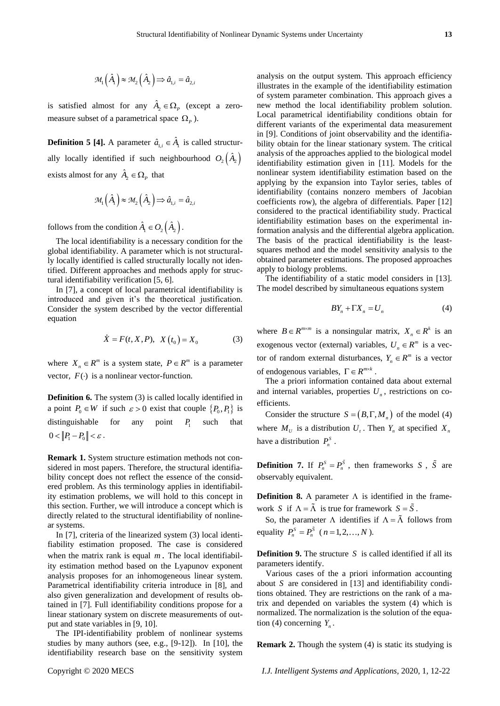$$
\mathcal{M}_1\left(\hat{A}_1\right) \approx \mathcal{M}_2\left(\hat{A}_2\right) \Longrightarrow \hat{a}_{1,i} = \hat{a}_{2,i}
$$

is satisfied almost for any  $\hat{A}_2 \in \Omega$ , (except a zeromeasure subset of a parametrical space  $\Omega$ <sub>*P*</sub>).

**Definition 5 [4].** A parameter  $\hat{a}_{1,i} \in \hat{A}_1$  is called structurally locally identified if such neighbourhood  $O_2(\hat{A}_2)$ exists almost for any  $\hat{A}_2 \in \Omega$ <sub>*P*</sub> that

$$
\mathcal{M}_1\left(\hat{A}_1\right) \approx \mathcal{M}_2\left(\hat{A}_2\right) \Longrightarrow \hat{a}_{1,i} = \hat{a}_{2,i}
$$

follows from the condition  $\hat{A}_{\!\scriptscriptstyle 1} \in O_{\!\scriptscriptstyle 2} \big(\hat{A}_{\!\scriptscriptstyle 2} \big)$  .

The local identifiability is a necessary condition for the global identifiability. A parameter which is not structurally locally identified is called structurally locally not identified. Different approaches and methods apply for structural identifiability verification [5, 6].

In [7], a concept of local parametrical identifiability is introduced and given it's the theoretical justification. Consider the system described by the vector differential equation

$$
\dot{X} = F(t, X, P), \ \ X(t_0) = X_0 \tag{3}
$$

where  $X_n \in \mathbb{R}^m$  is a system state,  $P \in \mathbb{R}^m$  is a parameter vector,  $F(\cdot)$  is a nonlinear vector-function.

**Definition 6.** The system (3) is called locally identified in a point  $P_0 \in W$  if such  $\varepsilon > 0$  exist that couple  $\{P_0, P_1\}$  is distinguishable for any point  $P_1$  such that  $0 < ||P_1 - P_0|| < \varepsilon$ .

**Remark 1.** System structure estimation methods not considered in most papers. Therefore, the structural identifiability concept does not reflect the essence of the considered problem. As this terminology applies in identifiability estimation problems, we will hold to this concept in this section. Further, we will introduce a concept which is directly related to the structural identifiability of nonlinear systems.

In [7], criteria of the linearized system (3) local identifiability estimation proposed. The case is considered when the matrix rank is equal m. The local identifiability estimation method based on the Lyapunov exponent analysis proposes for an inhomogeneous linear system. Parametrical identifiability criteria introduce in [8], and also given generalization and development of results obtained in [7]. Full identifiability conditions propose for a linear stationary system on discrete measurements of output and state variables in [9, 10].

The IPI-identifiability problem of nonlinear systems studies by many authors (see, e.g., [9-12]). In [10], the identifiability research base on the sensitivity system analysis on the output system. This approach efficiency illustrates in the example of the identifiability estimation of system parameter combination. This approach gives a new method the local identifiability problem solution. Local parametrical identifiability conditions obtain for different variants of the experimental data measurement in [9]. Conditions of joint observability and the identifiability obtain for the linear stationary system. The critical analysis of the approaches applied to the biological model identifiability estimation given in [11]. Models for the nonlinear system identifiability estimation based on the applying by the expansion into Taylor series, tables of identifiability (contains nonzero members of Jacobian coefficients row), the algebra of differentials. Paper [12] considered to the practical identifiability study. Practical identifiability estimation bases on the experimental information analysis and the differential algebra application. The basis of the practical identifiability is the leastsquares method and the model sensitivity analysis to the obtained parameter estimations. The proposed approaches apply to biology problems.

The identifiability of a static model considers in [13]. The model described by simultaneous equations system

$$
BY_n + \Gamma X_n = U_n \tag{4}
$$

where  $B \in R^{m \times m}$  is a nonsingular matrix,  $X_n \in R^k$  is an exogenous vector (external) variables,  $U_n \in R^m$  is a vector of random external disturbances,  $Y_n \in \mathbb{R}^m$  is a vector of endogenous variables,  $\Gamma \in R^{m \times k}$ .

The a priori information contained data about external and internal variables, properties  $U_n$ , restrictions on coefficients.

Consider the structure  $S = (B, \Gamma, M_n)$  of the model (4) where  $M_U$  is a distribution  $U_t$ . Then  $Y_n$  at specified  $X_n$ have a distribution  $P_n^S$ .

**Definition 7.** If  $P_n^S = P_n^{\overline{S}}$ , then frameworks *S*,  $\tilde{S}$  are observably equivalent.

**Definition 8.** A parameter  $\Lambda$  is identified in the framework *S* if  $\Lambda = \tilde{\Lambda}$  is true for framework  $S = \tilde{S}$ .

So, the parameter  $\Lambda$  identifies if  $\Lambda = \tilde{\Lambda}$  follows from equality  $P_n^S = P_n^S$  (*n* = 1, 2, ..., *N*).

**Definition 9.** The structure *S* is called identified if all its parameters identify.

Various cases of the a priori information accounting about *S* are considered in [13] and identifiability conditions obtained. They are restrictions on the rank of a matrix and depended on variables the system (4) which is normalized. The normalization is the solution of the equation (4) concerning  $Y_n$ .

**Remark 2.** Though the system (4) is static its studying is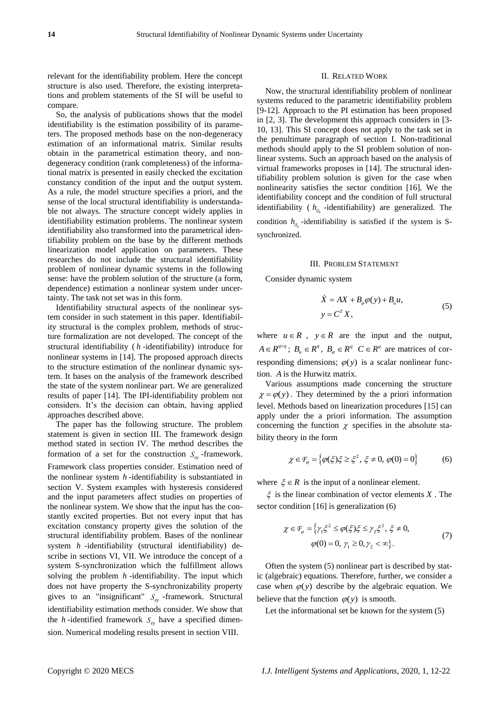relevant for the identifiability problem. Here the concept structure is also used. Therefore, the existing interpretations and problem statements of the SI will be useful to compare.

So, the analysis of publications shows that the model identifiability is the estimation possibility of its parameters. The proposed methods base on the non-degeneracy estimation of an informational matrix. Similar results obtain in the parametrical estimation theory, and nondegeneracy condition (rank completeness) of the informational matrix is presented in easily checked the excitation constancy condition of the input and the output system. As a rule, the model structure specifies a priori, and the sense of the local structural identifiability is understandable not always. The structure concept widely applies in identifiability estimation problems. The nonlinear system identifiability also transformed into the parametrical identifiability problem on the base by the different methods linearization model application on parameters. These researches do not include the structural identifiability problem of nonlinear dynamic systems in the following sense: have the problem solution of the structure (a form, dependence) estimation a nonlinear system under uncertainty. The task not set was in this form.

Identifiability structural aspects of the nonlinear system consider in such statement in this paper. Identifiability structural is the complex problem, methods of structure formalization are not developed. The concept of the structural identifiability ( *h* -identifiability) introduce for nonlinear systems in [14]. The proposed approach directs to the structure estimation of the nonlinear dynamic system. It bases on the analysis of the framework described the state of the system nonlinear part. We are generalized results of paper [14]. The IPI-identifiability problem not considers. It's the decision can obtain, having applied approaches described above.

The paper has the following structure. The problem statement is given in section III. The framework design method stated in section IV. The method describes the formation of a set for the construction  $S_{ey}$ -framework. Framework class properties consider. Estimation need of the nonlinear system *h* -identifiability is substantiated in section V. System examples with hysteresis considered and the input parameters affect studies on properties of the nonlinear system. We show that the input has the constantly excited properties. But not every input that has excitation constancy property gives the solution of the structural identifiability problem. Bases of the nonlinear system *h* -identifiability (structural identifiability) describe in sections VI, VII. We introduce the concept of a system S-synchronization which the fulfillment allows solving the problem *h* -identifiability. The input which does not have property the S-synchronizability property gives to an "insignificant"  $S_{ey}$ -framework. Structural identifiability estimation methods consider. We show that the *h*-identified framework  $S_{ey}$  have a specified dimension. Numerical modeling results present in section VIII.

### II. RELATED WORK

Now, the structural identifiability problem of nonlinear systems reduced to the parametric identifiability problem [9-12]. Approach to the PI estimation has been proposed in [2, 3]. The development this approach considers in [3- 10, 13]. This SI concept does not apply to the task set in the penultimate paragraph of section I. Non-traditional methods should apply to the SI problem solution of nonlinear systems. Such an approach based on the analysis of virtual frameworks proposes in [14]. The structural identifiability problem solution is given for the case when nonlinearity satisfies the sector condition [16]. We the identifiability concept and the condition of full structural identifiability ( $h_{\delta_h}$ -identifiability) are generalized. The condition  $h_{\delta_h}$ -identifiability is satisfied if the system is Ssynchronized.

#### III. PROBLEM STATEMENT

Consider dynamic system

$$
\dot{X} = AX + B_{\varphi}\varphi(y) + B_{u}u,
$$
  
\n
$$
y = C^{T}X,
$$
\n(5)

where  $u \in R$ ,  $y \in R$  are the input and the output,  $A \in R^{q \times q}$ ;  $B_u \in R^q$ ,  $B_\varphi \in R^q$   $C \in R^q$  are matrices of corresponding dimensions;  $\varphi(y)$  is a scalar nonlinear function. *A* is the Hurwitz matrix.

Various assumptions made concerning the structure  $\chi = \varphi(y)$ . They determined by the a priori information level. Methods based on linearization procedures [15] can apply under the a priori information. The assumption concerning the function  $\chi$  specifies in the absolute stability theory in the form

$$
\chi \in \mathcal{F}_{\varphi} = \left\{ \varphi(\xi)\xi \ge \xi^2, \xi \ne 0, \varphi(0) = 0 \right\}
$$
 (6)

where  $\xi \in R$  is the input of a nonlinear element.

 $\xi$  is the linear combination of vector elements X. The sector condition [16] is generalization  $(6)$ 

$$
\chi \in \mathcal{F}_{\varphi} = \left\{ \gamma_1 \xi^2 \le \varphi(\xi)\xi \le \gamma_2 \xi^2, \xi \ne 0, \right. \n\varphi(0) = 0, \gamma_1 \ge 0, \gamma_2 < \infty \right\}. \tag{7}
$$

Often the system (5) nonlinear part is described by static (algebraic) equations. Therefore, further, we consider a case when  $\varphi(y)$  describe by the algebraic equation. We believe that the function  $\varphi(y)$  is smooth.

Let the informational set be known for the system (5)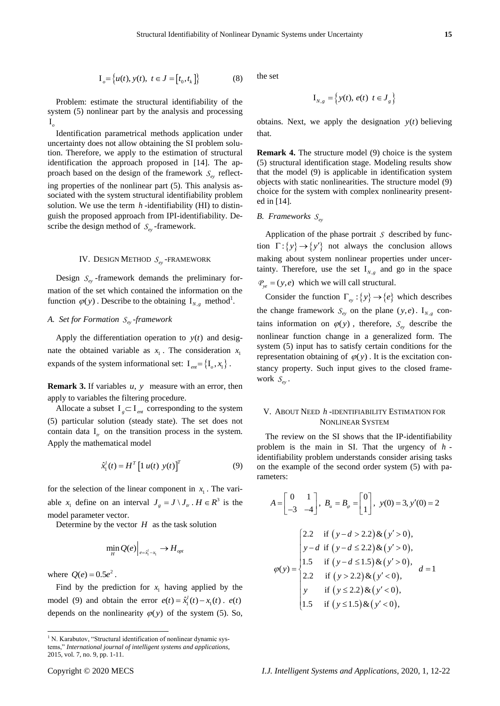$$
I_{o} = \{u(t), y(t), t \in J = [t_0, t_k]\}\
$$
 (8)

Problem: estimate the structural identifiability of the system (5) nonlinear part by the analysis and processing I *o*

Identification parametrical methods application under uncertainty does not allow obtaining the SI problem solution. Therefore, we apply to the estimation of structural identification the approach proposed in [14]. The approach based on the design of the framework  $S_{e<sub>y</sub>}$  reflecting properties of the nonlinear part (5). This analysis associated with the system structural identifiability problem solution. We use the term  $h$ -identifiability (HI) to distinguish the proposed approach from IPI-identifiability. Describe the design method of  $S_{ey}$ -framework.

# IV. DESIGN METHOD  $S_{ey}$ -FRAMEWORK

Design  $S_{ey}$ -framework demands the preliminary formation of the set which contained the information on the function  $\varphi(y)$ . Describe to the obtaining  $I_{N,g}$  method<sup>1</sup>.

# *A. Set for Formation ey S -framework*

Apply the differentiation operation to  $y(t)$  and designate the obtained variable as  $x_1$ . The consideration  $x_1$ expands of the system informational set:  $I_{em} = \{I_o, x_1\}$ .

**Remark 3.** If variables  $u$ ,  $y$  measure with an error, then apply to variables the filtering procedure.

Allocate a subset  $I_{g} \subset I_{em}$  corresponding to the system (5) particular solution (steady state). The set does not contain data  $I_{tr}$  on the transition process in the system. Apply the mathematical model

$$
\hat{x}_1^l(t) = H^T \left[ 1 \ u(t) \ y(t) \right]^T \tag{9}
$$

for the selection of the linear component in  $x_1$ . The variable  $x_1$  define on an interval  $J_g = J \setminus J_u$ .  $H \in \mathbb{R}^3$  is the model parameter vector.

Determine by the vector  $H$  as the task solution

$$
\min_{H} Q(e)\Big|_{e=\hat{x}_1^l-x_1} \to H_{opt}
$$

where  $Q(e) = 0.5e^2$ .

 $\overline{a}$ 

Find by the prediction for  $x_1$  having applied by the model (9) and obtain the error  $e(t) = \hat{x}_1^l(t) - x_1(t)$ .  $e(t)$ depends on the nonlinearity  $\varphi(y)$  of the system (5). So, the set

$$
\mathbf{I}_{N,g} = \left\{ y(t), e(t) \mid t \in \mathbf{J}_g \right\}
$$

obtains. Next, we apply the designation  $y(t)$  believing that.

**Remark 4.** The structure model (9) choice is the system (5) structural identification stage. Modeling results show that the model (9) is applicable in identification system objects with static nonlinearities. The structure model (9) choice for the system with complex nonlinearity presented in [14].

# B. Frameworks  $S_{ey}$

Application of the phase portrait *S* described by function  $\Gamma$ : {*y*}  $\rightarrow$  {*y'*} not always the conclusion allows making about system nonlinear properties under uncertainty. Therefore, use the set  $I_{N,g}$  and go in the space  $P_{ye} = (y, e)$  which we will call structural.

Consider the function  $\Gamma_{e_y}$ : { $y$ }  $\rightarrow$  { $e$ } which describes the change framework  $S_{ey}$  on the plane  $(y,e)$ . I<sub>N,g</sub> contains information on  $\varphi(y)$ , therefore,  $S_{ey}$  describe the nonlinear function change in a generalized form. The system (5) input has to satisfy certain conditions for the representation obtaining of  $\varphi(y)$ . It is the excitation constancy property. Such input gives to the closed framework  $S_{ey}$ .

## V. ABOUT NEED *h* -IDENTIFIABILITY ESTIMATION FOR NONLINEAR SYSTEM

The review on the SI shows that the IP-identifiability problem is the main in SI. That the urgency of *h* identifiability problem understands consider arising tasks on the example of the second order system (5) with parameters:

1<sub>3</sub>= {*u*(*x*), *y*(*x*)<sub>1</sub> *t* = *I*<sub>1</sub>, *t*<sub>3</sub>}  
\nProblem: estimate the structural identifying of the  
\n
$$
I_{xy}
$$
 = {*y*(*x*), *o*(*x*) *t* = *J<sub>x</sub>*}  
\nProblem: estimate the structural identification under  
\n $I_{xy}$   
\n1, 1  
\n1, 2  
\n1, 3  
\n1, 4  
\n1, 5  
\n1, 6  
\n1, 7  
\n1, 7  
\n1, 8  
\n1, 9  
\n1, 1  
\n1, 1  
\n1, 1  
\n1, 1  
\n1, 1  
\n1, 1  
\n1, 1  
\n1, 1  
\n1, 1  
\n1, 1  
\n1, 1  
\n1, 1  
\n1, 1  
\n1, 1  
\n1, 1  
\n1, 1  
\n1, 1  
\n1, 1  
\n1, 1  
\n1, 1  
\n1, 1  
\n1, 1  
\n1, 1  
\n1, 1  
\n1, 1  
\n1, 1  
\n1, 1  
\n1, 1  
\n1, 1  
\n1, 1  
\n1, 1  
\n1, 1  
\n1, 1  
\n1, 1  
\n1, 1  
\n1, 1  
\n1, 1  
\n1, 1  
\n1, 1  
\n1, 1  
\n1, 1  
\n1, 1  
\n1, 1  
\n1, 1  
\n1, 1  
\n1, 1  
\n1, 1  
\n1, 1  
\n1, 1  
\n1, 1  
\n1, 1  
\n1, 1  
\n1, 1  
\n1, 1  
\n1, 1  
\n1, 1  
\n1, 1  
\n1, 1  
\n1, 1  
\n1, 1  
\n1, 1  
\n1, 1  
\n1, 1  
\n1, 1  
\n1, 1  
\n1, 1  
\n1, 1  
\n1, 1  
\n1, 1  
\n1  
\n1, 1  
\n1  
\n1  
\n1  
\n1  
\n1  
\n1  
\n1  
\n1  
\n1

<sup>&</sup>lt;sup>1</sup> N. Karabutov, "Structural identification of nonlinear dynamic systems," *International journal of intelligent systems and applications*, 2015, vol. 7, no. 9, pp. 1-11.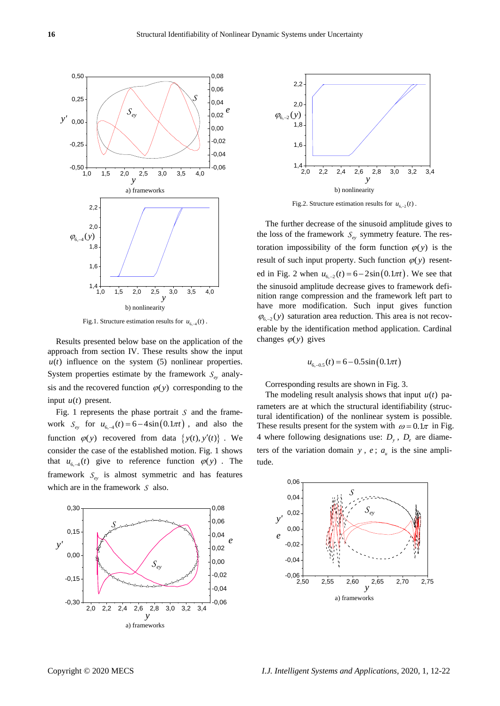

Fig.1. Structure estimation results for  $u_{6,-4}(t)$ .

Results presented below base on the application of the approach from section IV. These results show the input  $u(t)$  influence on the system  $(5)$  nonlinear properties. System properties estimate by the framework  $S_{e_y}$  analysis and the recovered function  $\varphi(y)$  corresponding to the input  $u(t)$  present.

Fig. 1 represents the phase portrait  $S$  and the framework  $S_{ey}$  for  $u_{6,-4}(t) = 6 - 4\sin(0.1\pi t)$ , and also the function  $\varphi(y)$  recovered from data  $\{y(t), y'(t)\}\;$ . We consider the case of the established motion. Fig. 1 shows that  $u_{6,-4}(t)$  give to reference function  $\varphi(y)$ . The framework  $S_{ey}$  is almost symmetric and has features which are in the framework *S* also.





Fig.2. Structure estimation results for  $u_{6,-2}(t)$ .

The further decrease of the sinusoid amplitude gives to the loss of the framework  $S_{ey}$  symmetry feature. The restoration impossibility of the form function  $\varphi(y)$  is the result of such input property. Such function  $\varphi(y)$  resented in Fig. 2 when  $u_{6,-2}(t) = 6 - 2\sin(0.1\pi t)$ . We see that the sinusoid amplitude decrease gives to framework definition range compression and the framework left part to have more modification. Such input gives function  $\varphi_{6,-2}(y)$  saturation area reduction. This area is not recoverable by the identification method application. Cardinal changes  $\varphi(y)$  gives

$$
u_{6,-0.5}(t) = 6 - 0.5\sin(0.1\pi t)
$$

Corresponding results are shown in Fig. 3.

The modeling result analysis shows that input  $u(t)$  parameters are at which the structural identifiability (structural identification) of the nonlinear system is possible. These results present for the system with  $\omega = 0.1\pi$  in Fig. 4 where following designations use:  $D_y$ ,  $D_e$  are diameters of the variation domain  $y$ ,  $e$ ;  $a<sub>u</sub>$  is the sine amplitude.

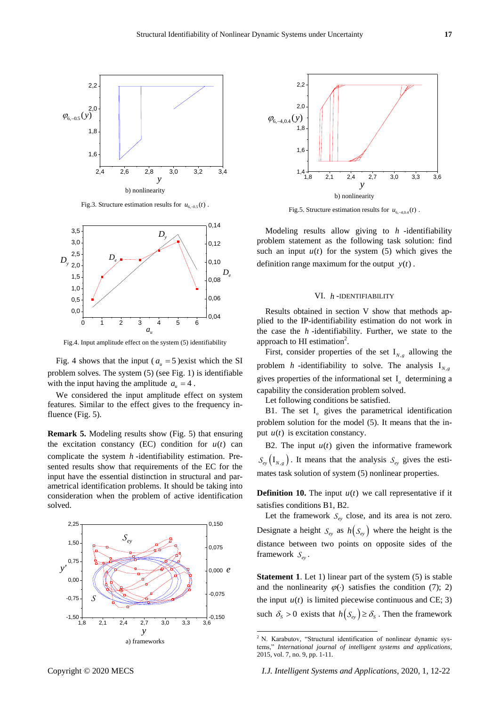

Fig.3. Structure estimation results for  $u_{6,-0.5}(t)$ .



Fig.4. Input amplitude effect on the system (5) identifiability

Fig. 4 shows that the input ( $a<sub>u</sub> = 5$ ) exist which the SI problem solves. The system (5) (see Fig. 1) is identifiable with the input having the amplitude  $a_u = 4$ .

We considered the input amplitude effect on system features. Similar to the effect gives to the frequency influence (Fig. 5).

**Remark 5.** Modeling results show (Fig. 5) that ensuring the excitation constancy  $(EC)$  condition for  $u(t)$  can complicate the system *h* -identifiability estimation. Presented results show that requirements of the EC for the input have the essential distinction in structural and parametrical identification problems. It should be taking into consideration when the problem of active identification solved.





Fig.5. Structure estimation results for  $u_{6, -4, 0, 4}(t)$ .

Modeling results allow giving to *h* -identifiability problem statement as the following task solution: find such an input  $u(t)$  for the system  $(5)$  which gives the definition range maximum for the output  $y(t)$ .

### VI. *h* -IDENTIFIABILITY

Results obtained in section V show that methods applied to the IP-identifiability estimation do not work in the case the *h* -identifiability. Further, we state to the approach to HI estimation<sup>2</sup>.

First, consider properties of the set  $I_{N,g}$  allowing the problem *h*-identifiability to solve. The analysis  $I_{N,g}$ gives properties of the informational set I *o* determining a capability the consideration problem solved.

Let following conditions be satisfied.

B1. The set I *o* gives the parametrical identification problem solution for the model (5). It means that the input  $u(t)$  is excitation constancy.

B2. The input  $u(t)$  given the informative framework  $S_{e_y} (I_{N,g})$ . It means that the analysis  $S_{e_y}$  gives the estimates task solution of system (5) nonlinear properties.

**Definition 10.** The input  $u(t)$  we call representative if it satisfies conditions B1, B2.

Let the framework  $S_{e<sub>y</sub>}$  close, and its area is not zero. Designate a height  $S_{e_y}$  as  $h(S_{e_y})$  where the height is the distance between two points on opposite sides of the framework  $S_{ey}$ .

**Statement 1**. Let 1) linear part of the system (5) is stable and the nonlinearity  $\varphi(\cdot)$  satisfies the condition (7); 2) the input  $u(t)$  is limited piecewise continuous and CE; 3) such  $\delta_s > 0$  exists that  $h(S_{e_y}) \ge \delta_s$ . Then the framework

-

 $2$  N. Karabutov, "Structural identification of nonlinear dynamic systems," *International journal of intelligent systems and applications*, 2015, vol. 7, no. 9, pp. 1-11.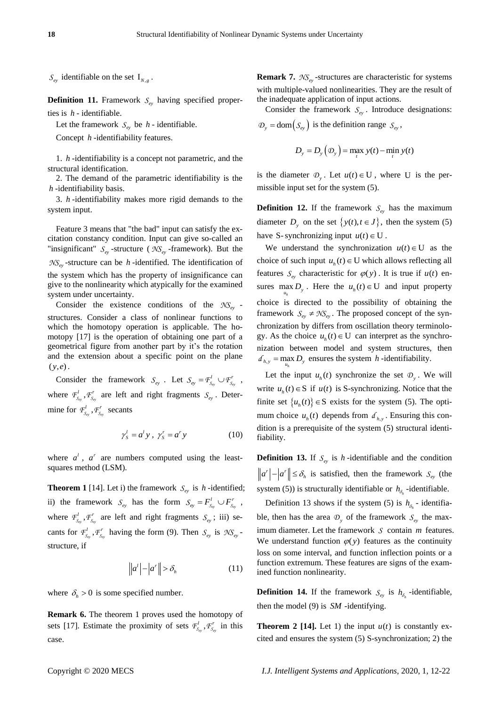$S_{ey}$  identifiable on the set  $I_{N,g}$ .

**Definition 11.** Framework  $S_{e<sub>y</sub>}$  having specified properties is *h* - identifiable.

Let the framework  $S_{e<sub>y</sub>}$  be *h* - identifiable.

Concept *h* -identifiability features.

1. *h* -identifiability is a concept not parametric, and the structural identification.

2. The demand of the parametric identifiability is the *h* -identifiability basis.

3. *h* -identifiability makes more rigid demands to the system input.

Feature 3 means that "the bad" input can satisfy the excitation constancy condition. Input can give so-called an "insignificant"  $S_{ey}$ -structure ( $\mathcal{NS}_{ey}$ -framework). But the *NSey* -structure can be *h* -identified. The identification of the system which has the property of insignificance can give to the nonlinearity which atypically for the examined system under uncertainty.

Consider the existence conditions of the *NSey* structures. Consider a class of nonlinear functions to which the homotopy operation is applicable. The homotopy [17] is the operation of obtaining one part of a geometrical figure from another part by it's the rotation and the extension about a specific point on the plane  $(y, e)$ .

Consider the framework  $S_{e_y}$ . Let  $S_{e_y} = F_{S_{e_y}}^l \cup F_{S_{e_y}}^r$  $S_{e y} = F_{S_{e v}}^l \cup F_{S_{e v}}^r$ , where  $\mathcal{F}^l_{S_{\sigma}}$ ,  $\mathcal{F}^r_{S_{\sigma}}$  are left and right fragments  $S_{\epsilon y}$ . Determine for  $\mathcal{F}^l_{S_{\epsilon y}}$ ,  $\mathcal{F}^r_{S_{\epsilon y}}$  secants

$$
\gamma_s^l = a^l y \,, \ \gamma_s^r = a^r y \tag{10}
$$

where  $a^l$ ,  $a^r$  are numbers computed using the leastsquares method (LSM).

**Theorem 1** [14]. Let i) the framework  $S_{e_y}$  is *h*-identified; ii) the framework  $S_{ey}$  has the form  $S_{ey} = F_{S_{ey}}^l \cup F_{S_{ey}}^r$  $S_{e y} = F_{s_{e y}}^l \cup F_{s_{e y}}^r$ , where  $\mathcal{F}^l_{S_{e_y}}, \mathcal{F}^r_{S_{e_y}}$  are left and right fragments  $S_{e_y}$ ; iii) secants for  $F_{S_{\rm ev}}^l$ ,  $F_{S_{\rm ev}}^r$  having the form (9). Then  $S_{\rm ev}$  is  $\mathcal{NS}_{\rm ev}$ structure, if

$$
\left\|a^t\right| - \left|a^r\right\| > \delta_h \tag{11}
$$

where  $\delta_h > 0$  is some specified number.

**Remark 6.** The theorem 1 proves used the homotopy of sets [17]. Estimate the proximity of sets  $\mathcal{F}^l_{S_{\epsilon}}$ ,  $\mathcal{F}^r_{S_{\epsilon}}$  in this case.

**Remark 7.** *NSey* -structures are characteristic for systems with multiple-valued nonlinearities. They are the result of the inadequate application of input actions.

Consider the framework  $S_{ey}$ . Introduce designations:  $\mathcal{D}_y = \text{dom}(S_{ey})$  is the definition range  $S_{ey}$ ,

$$
D_{y} = D_{y}(\mathcal{D}_{y}) = \max_{t} y(t) - \min_{t} y(t)
$$

is the diameter  $\mathcal{D}_y$ . Let  $u(t) \in U$ , where U is the permissible input set for the system (5).

**Definition 12.** If the framework  $S_{ey}$  has the maximum diameter  $D_y$  on the set  $\{y(t), t \in J\}$ , then the system (5) have S-synchronizing input  $u(t) \in U$ .

We understand the synchronization  $u(t) \in U$  as the choice of such input  $u_h(t) \in U$  which allows reflecting all features  $S_{ey}$  characteristic for  $\varphi(y)$ . It is true if  $u(t)$  ensures  $\max_{u_h} D_y$ . Here the  $u_h(t) \in U$  and input property *h* choice is directed to the possibility of obtaining the framework  $S_{ey} \neq \mathcal{NS}_{ey}$ . The proposed concept of the synchronization by differs from oscillation theory terminology. As the choice  $u_h(t) \in U$  can interpret as the synchronization between model and system structures, then  $d_{h,y} = \max_{u_h} D_y$  ensures the system *h*-identifiability.

Let the input  $u_h(t)$  synchronize the set  $\mathcal{D}_y$ . We will write  $u_h(t) \in S$  if  $u(t)$  is S-synchronizing. Notice that the finite set  $\{u_n(t)\}\in S$  exists for the system (5). The optimum choice  $u_h(t)$  depends from  $d_{h,y}$ . Ensuring this condition is a prerequisite of the system (5) structural identifiability.

**Definition 13.** If  $S_{ey}$  is *h*-identifiable and the condition  $a^r$  | - | $a^r$  ||  $\leq \delta_h$  is satisfied, then the framework  $S_{ey}$  (the system (5)) is structurally identifiable or  $h_{\delta_h}$ -identifiable.

Definition 13 shows if the system (5) is  $h_{\delta_h}$  - identifiable, then has the area  $\mathcal{D}_y$  of the framework  $S_{ey}$  the maximum diameter. Let the framework *S* contain *m* features. We understand function  $\varphi(y)$  features as the continuity loss on some interval, and function inflection points or a function extremum. These features are signs of the examined function nonlinearity.

**Definition 14.** If the framework  $S_{ey}$  is  $h_{\delta_h}$ -identifiable, then the model (9) is *SM* -identifying.

**Theorem 2 [14].** Let 1) the input  $u(t)$  is constantly excited and ensures the system (5) S-synchronization; 2) the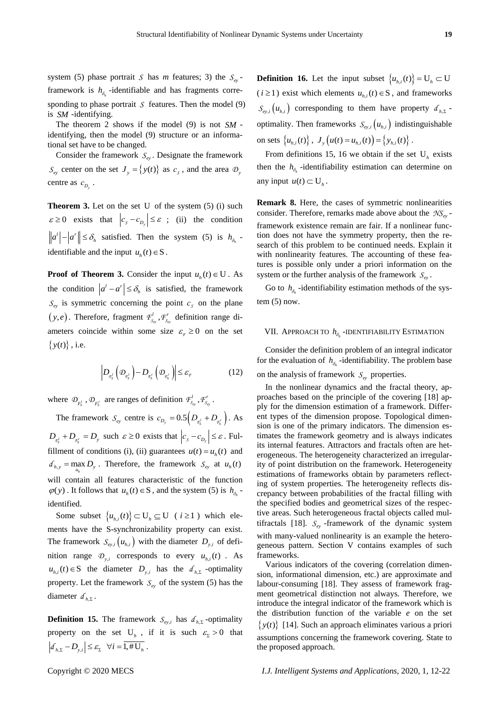system (5) phase portrait *S* has *m* features; 3) the  $S_{ey}$ framework is  $h_{\delta_h}$ -identifiable and has fragments corresponding to phase portrait  $S$  features. Then the model  $(9)$ is *SM* -identifying.

The theorem 2 shows if the model (9) is not *SM* identifying, then the model (9) structure or an informational set have to be changed.

Consider the framework  $S_{ey}$ . Designate the framework  $S_{ey}$  center on the set  $J_y = \{y(t)\}\$ as  $c_s$ , and the area  $\mathcal{D}_y$ centre as  $c_{D_y}$ .

**Theorem 3.** Let on the set U of the system (5) (i) such  $\varepsilon \ge 0$  exists that  $|c_s - c_{D_s}| \le \varepsilon$ ; (ii) the condition  $a'$  | - |  $a'$  ||  $\leq \delta_h$  satisfied. Then the system (5) is  $h_{\delta_h}$ . identifiable and the input  $u_h(t) \in S$ .

**Proof of Theorem 3.** Consider the input  $u_h(t) \in U$ . As the condition  $|a^t - a^r| \leq \delta_h$  is satisfied, the framework  $S_{ey}$  is symmetric concerning the point  $c_s$  on the plane  $(y, e)$ . Therefore, fragment  $\mathcal{F}^l_{S_{\text{ev}}}, \mathcal{F}^r_{S_{\text{ev}}}$  definition range diameters coincide within some size  $\varepsilon_{F} \ge 0$  on the set  $\{y(t)\}\,$ , i.e.

$$
\left| D_{q_{\vec{s}}} \left( \mathcal{D}_{q_{\vec{s}}} \right) - D_{q_{\vec{s}}} \left( \mathcal{D}_{q_{\vec{s}}} \right) \right| \leq \varepsilon_{\text{F}} \tag{12}
$$

where  $\mathcal{D}_{F_s^l}$ ,  $\mathcal{D}_{F_s^r}$  are ranges of definition  $F_{S_{\rm ev}}^l$ ,  $F_{S_{\rm ev}}^r$ .

The framework  $S_{ey}$  centre is  $c_{D_y} = 0.5 \left( D_{q_s^f} + D_{q_s^r} \right)$ . As  $D_{q_s^j} + D_{q_s^r} = D_y$  such  $\varepsilon \ge 0$  exists that  $|c_s - c_{p_s}| \le \varepsilon$ . Fulfillment of conditions (i), (ii) guarantees  $u(t) = u_h(t)$  and  $d_{h,y} = \max_{u_h} D_y$ . Therefore, the framework  $S_{ey}$  at  $u_h(t)$ *h* will contain all features characteristic of the function  $\varphi(y)$ . It follows that  $u_h(t) \in S$ , and the system (5) is  $h_{\delta_h}$ . identified.

Some subset  $\{u_{h,i}(t)\}\subset U_h\subseteq U$  ( $i\geq 1$ ) which elements have the S-synchronizability property can exist. The framework  $S_{ey,i}(u_{h,i})$  with the diameter  $D_{y,i}$  of definition range  $\mathcal{D}_{y,i}$  corresponds to every  $u_{h,i}(t)$ . As  $u_{h,i}(t) \in S$  the diameter  $D_{y,i}$  has the  $d_{h,\Sigma}$  -optimality property. Let the framework  $S_{ey}$  of the system (5) has the diameter  $d_{h,\Sigma}$ .

**Definition 15.** The framework  $S_{e y,i}$  has  $d_{h,\Sigma}$ -optimality property on the set  $U_h$ , if it is such  $\varepsilon_z > 0$  that  $d_{h,\Sigma} - D_{y,i} \leq \varepsilon_{\Sigma} \quad \forall i = 1, \# U_h$ .

**Definition 16.** Let the input subset  $\{u_{h,i}(t)\} = U_h \subset U$  $(i \geq 1)$  exist which elements  $u_{h,i}(t) \in S$ , and frameworks  $S_{ey,i}(u_{h,i})$  corresponding to them have property  $d_{h,\Sigma}$ . optimality. Then frameworks  $S_{e y,i}(u_{h,i})$  indistinguishable on sets  $\{u_{h,i}(t)\}\,$ ,  $J_y(u(t) = u_{h,i}(t)) = \{y_{h,i}(t)\}\,$ .

From definitions 15, 16 we obtain if the set  $U_h$  exists then the  $h_{\delta_h}$ -identifiability estimation can determine on any input  $u(t) \subset U_h$ .

**Remark 8.** Here, the cases of symmetric nonlinearities consider. Therefore, remarks made above about the *NSey* framework existence remain are fair. If a nonlinear function does not have the symmetry property, then the research of this problem to be continued needs. Explain it with nonlinearity features. The accounting of these features is possible only under a priori information on the system or the further analysis of the framework  $S_{ey}$ .

Go to  $h_{\delta_h}$ -identifiability estimation methods of the system  $(5)$  now.

# VII. APPROACH TO *h h* -IDENTIFIABILITY ESTIMATION

Consider the definition problem of an integral indicator for the evaluation of  $h_{\delta_h}$ -identifiability. The problem base on the analysis of framework  $S_{e_y}$  properties.

In the nonlinear dynamics and the fractal theory, approaches based on the principle of the covering [18] apply for the dimension estimation of a framework. Different types of the dimension propose. Topological dimension is one of the primary indicators. The dimension estimates the framework geometry and is always indicates its internal features. Attractors and fractals often are heterogeneous. The heterogeneity characterized an irregularity of point distribution on the framework. Heterogeneity estimations of frameworks obtain by parameters reflecting of system properties. The heterogeneity reflects discrepancy between probabilities of the fractal filling with the specified bodies and geometrical sizes of the respective areas. Such heterogeneous fractal objects called multifractals [18].  $S_{ey}$ -framework of the dynamic system with many-valued nonlinearity is an example the heterogeneous pattern. Section V contains examples of such frameworks.

Various indicators of the covering (correlation dimension, informational dimension, etc.) are approximate and labour-consuming [18]. They assess of framework fragment geometrical distinction not always. Therefore, we introduce the integral indicator of the framework which is the distribution function of the variable *e* on the set  $\{y(t)\}\$  [14]. Such an approach eliminates various a priori assumptions concerning the framework covering. State to the proposed approach.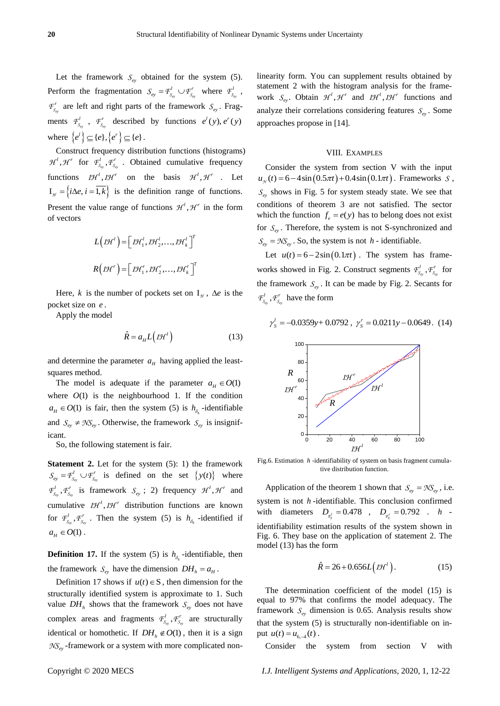Let the framework  $S_{ey}$  obtained for the system (5). Perform the fragmentation  $S_{ey} = \mathcal{F}_{S_{ey}}^l \cup \mathcal{F}_{S_{ey}}^r$  $S_{e_y} = F_{S_{e_y}}^l \cup F_{S_{e_y}}^r$  where  $F_{S_{e_y}}^l$ ,  $\mathcal{F}_{S_{ey}}^r$  are left and right parts of the framework  $S_{ey}$ . Fragments  $F_{S_{cy}}^l$ ,  $F_{S_{cy}}^r$  described by functions  $e^l(y)$ ,  $e^r(y)$ where  $\{e^i\} \subseteq \{e\}, \{e^r\} \subseteq \{e\}.$ 

Construct frequency distribution functions (histograms)  $\mathcal{H}^l$ ,  $\mathcal{H}^r$  for  $\mathcal{F}^l_{S_{\text{ev}}}$ ,  $\mathcal{F}^r_{S_{\text{ev}}}$ . Obtained cumulative frequency functions  $I H^l$ ,  $I H^r$  on the basis  $H^l$ ,  $H^r$ . Let  $I_{\mathcal{H}} = \{i\Delta e, i = 1, k\}$  is the definition range of functions. Present the value range of functions  $H^1$ ,  $H^r$  in the form of vectors

$$
L\left(\mathcal{I}\mathcal{H}^{l}\right) = \left[\mathcal{I}\mathcal{H}_{1}^{l}, \mathcal{I}\mathcal{H}_{2}^{l}, \dots, \mathcal{I}\mathcal{H}_{k}^{l}\right]^{T}
$$

$$
R\left(\mathcal{I}\mathcal{H}^{r}\right) = \left[\mathcal{I}\mathcal{H}_{1}^{r}, \mathcal{I}\mathcal{H}_{2}^{r}, \dots, \mathcal{I}\mathcal{H}_{k}^{r}\right]^{T}
$$

Here, *k* is the number of pockets set on  $I_{\mathcal{H}}$ ,  $\Delta e$  is the pocket size on *e* .

Apply the model

$$
\hat{R} = a_{H} L(LH^{t})
$$
\n(13)

and determine the parameter  $a<sub>H</sub>$  having applied the leastsquares method.

The model is adequate if the parameter  $a_H \in O(1)$ where  $O(1)$  is the neighbourhood 1. If the condition  $a_H \in O(1)$  is fair, then the system (5) is  $h_{\delta_h}$ -identifiable and  $S_{ey} \neq \mathcal{N}S_{ey}$ . Otherwise, the framework  $S_{ey}$  is insignificant.

So, the following statement is fair.

**Statement 2.** Let for the system (5): 1) the framework *ey ey*  $S_{e_y} = F_{S_{e_y}}^l \cup F_{S_{e_y}}^r$  is defined on the set  $\{y(t)\}\$  where  $\mathcal{F}_{S_{\text{ev}}}^l$ ,  $\mathcal{F}_{S_{\text{ev}}}^r$  is framework  $S_{\text{ev}}$ ; 2) frequency  $\mathcal{H}^l$ ,  $\mathcal{H}^r$  and cumulative  $I H^{1}$ ,  $I H^{r}$  distribution functions are known for  $F_{s_{\text{ev}}}^l$ ,  $F_{s_{\text{ev}}}^r$ . Then the system (5) is  $h_{\delta_h}$  -identified if  $a_H \in O(1)$  .

**Definition 17.** If the system (5) is  $h_{\delta_h}$ -identifiable, then the framework  $S_{ey}$  have the dimension  $DH_h = a_H$ .

Definition 17 shows if  $u(t) \in S$ , then dimension for the structurally identified system is approximate to 1. Such value  $DH_h$  shows that the framework  $S_{ey}$  does not have complex areas and fragments  $F_{S_{\rm ev}}^l$ ,  $F_{S_{\rm ev}}^r$  are structurally identical or homothetic. If  $DH_h \notin O(1)$ , then it is a sign *NSey* -framework or a system with more complicated nonlinearity form. You can supplement results obtained by statement 2 with the histogram analysis for the framework  $S_{ey}$ . Obtain  $\mathcal{H}^1$ ,  $\mathcal{H}^r$  and  $\mathcal{I}\mathcal{H}^1$ ,  $\mathcal{I}\mathcal{H}^r$  functions and analyze their correlations considering features  $S_{ey}$ . Some approaches propose in [14].

### VIII. EXAMPLES

Consider the system from section V with the input Consider the system from section V with the input  $u_{\gamma}(t) = 6 - 4\sin(0.5\pi t) + 0.4\sin(0.1\pi t)$ . Frameworks S,  $S_{ey}$  shows in Fig. 5 for system steady state. We see that conditions of theorem 3 are not satisfied. The sector which the function  $f_e = e(y)$  has to belong does not exist for  $S_{ey}$ . Therefore, the system is not S-synchronized and  $S_{ey} = \mathcal{N}S_{ey}$ . So, the system is not *h* - identifiable.

Let  $u(t) = 6 - 2\sin(0.1\pi t)$ . The system has frameworks showed in Fig. 2. Construct segments  $F_{s_{ey}}^l$ ,  $F_{s_{ey}}^r$  for the framework  $S_{ey}$ . It can be made by Fig. 2. Secants for  $F_{S_{ey}}^l$ ,  $F_{S_{ey}}^r$  have the form

$$
\gamma_s^l = -0.0359y + 0.0792 \, , \, \gamma_s^r = 0.0211y - 0.0649 \, . \tag{14}
$$



Fig.6. Estimation *h* -identifiability of system on basis fragment cumulative distribution function.

Application of the theorem 1 shown that  $S_{ey} = \mathcal{NS}_{ey}$ , i.e. system is not *h* -identifiable. This conclusion confirmed with diameters  $D_{q_s^1} = 0.478$ ,  $D_{q_s^r} = 0.792$ . *h* identifiability estimation results of the system shown in Fig. 6. They base on the application of statement 2. The model (13) has the form

$$
\hat{R} = 26 + 0.656L(TH^1).
$$
 (15)

The determination coefficient of the model (15) is equal to 97% that confirms the model adequacy. The framework  $S_{ey}$  dimension is 0.65. Analysis results show that the system (5) is structurally non-identifiable on input  $u(t) = u_{6,-4}(t)$ .

Consider the system from section V with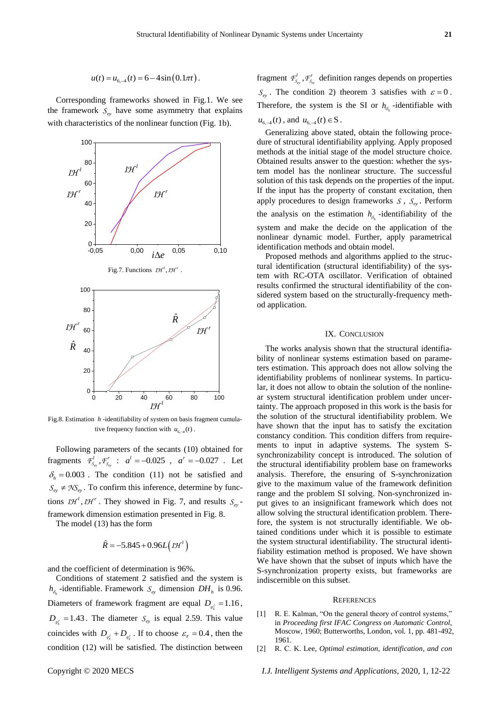$$
u(t) = u_{6,-4}(t) = 6 - 4\sin(0.1\pi t).
$$

Corresponding frameworks showed in Fig.1. We see the framework  $S_{ey}$  have some asymmetry that explains with characteristics of the nonlinear function (Fig. 1b).



Fig.8. Estimation *h* -identifiability of system on basis fragment cumulative frequency function with  $u_{6,-4}(t)$ .

Following parameters of the secants (10) obtained for fragments  $\mathcal{F}_{S_{\text{ey}}}^l$ ,  $\mathcal{F}_{S_{\text{ey}}}^r$  :  $a^l = -0.025$ ,  $a^r = -0.027$ . Let  $\delta_h = 0.003$ . The condition (11) not be satisfied and  $S_{e<sub>y</sub>} \neq \mathcal{N}S_{e<sub>y</sub>}$ . To confirm this inference, determine by functions  $I H^1$ ,  $I H^r$ . They showed in Fig. 7, and results  $S_{e_y}$ framework dimension estimation presented in Fig. 8.

The model (13) has the form

$$
\hat{R} = -5.845 + 0.96L(jH')
$$

and the coefficient of determination is 96%.

Conditions of statement 2 satisfied and the system is  $h_{\delta_h}$ -identifiable. Framework  $S_{e_y}$  dimension  $DH_h$  is 0.96. Diameters of framework fragment are equal  $D_{q_s^1} = 1.16$ ,  $D_{\tau_s^r} = 1.43$ . The diameter  $S_{\tau_s}$  is equal 2.59. This value coincides with  $D_{q_s^t} + D_{q_s^r}$ . If to choose  $\varepsilon_{\text{F}} = 0.4$ , then the condition (12) will be satisfied. The distinction between

fragment  $F_{S_{cy}}^l$ ,  $F_{S_{ey}}^r$  definition ranges depends on properties  $S_{ey}$ . The condition 2) theorem 3 satisfies with  $\varepsilon = 0$ . Therefore, the system is the SI or  $h_{\delta_h}$ -identifiable with  $u_{6,-4}(t)$ , and  $u_{6,-4}(t) \in S$ .

Generalizing above stated, obtain the following procedure of structural identifiability applying. Apply proposed methods at the initial stage of the model structure choice. Obtained results answer to the question: whether the system model has the nonlinear structure. The successful solution of this task depends on the properties of the input. If the input has the property of constant excitation, then apply procedures to design frameworks  $S$ ,  $S_{ey}$ . Perform the analysis on the estimation  $h_{\delta_h}$ -identifiability of the system and make the decide on the application of the nonlinear dynamic model. Further, apply parametrical identification methods and obtain model.

Proposed methods and algorithms applied to the structural identification (structural identifiability) of the system with RC-OTA oscillator. Verification of obtained results confirmed the structural identifiability of the considered system based on the structurally-frequency method application.

## IX. CONCLUSION

0 20 40 60 80 100 ar system structural identification problem under uncer-The works analysis shown that the structural identifiability of nonlinear systems estimation based on parameters estimation. This approach does not allow solving the identifiability problems of nonlinear systems. In particular, it does not allow to obtain the solution of the nonlinetainty. The approach proposed in this work is the basis for the solution of the structural identifiability problem. We have shown that the input has to satisfy the excitation constancy condition. This condition differs from requirements to input in adaptive systems. The system Ssynchronizability concept is introduced. The solution of the structural identifiability problem base on frameworks analysis. Therefore, the ensuring of S-synchronization give to the maximum value of the framework definition range and the problem SI solving. Non-synchronized input gives to an insignificant framework which does not allow solving the structural identification problem. Therefore, the system is not structurally identifiable. We obtained conditions under which it is possible to estimate the system structural identifiability. The structural identifiability estimation method is proposed. We have shown We have shown that the subset of inputs which have the S-synchronization property exists, but frameworks are indiscernible on this subset.

#### **REFERENCES**

- [1] R. E. Kalman, "On the general theory of control systems," in *Proceeding first IFAC Congress on Automatic Control*, Moscow, 1960; Butterworths, London, vol. 1, pp. 481-492, 1961.
- [2] R. С. K. Lee, *Optimal estimation, identification, and con*